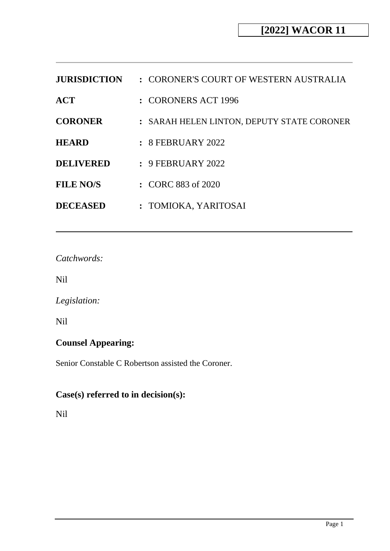| <b>JURISDICTION</b> | : CORONER'S COURT OF WESTERN AUSTRALIA     |
|---------------------|--------------------------------------------|
| <b>ACT</b>          | : CORONERS ACT 1996                        |
| <b>CORONER</b>      | : SARAH HELEN LINTON, DEPUTY STATE CORONER |
| <b>HEARD</b>        | $: 8$ FEBRUARY 2022                        |
| <b>DELIVERED</b>    | $: 9$ FEBRUARY 2022                        |
| <b>FILE NO/S</b>    | $\therefore$ CORC 883 of 2020              |
| <b>DECEASED</b>     | : TOMIOKA, YARITOSAI                       |

*Catchwords:*

Nil

*Legislation:*

Nil

# **Counsel Appearing:**

Senior Constable C Robertson assisted the Coroner.

# **Case(s) referred to in decision(s):**

Nil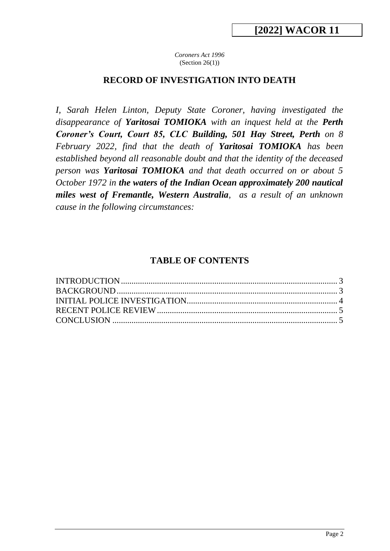*Coroners Act 1996* (Section 26(1))

### **RECORD OF INVESTIGATION INTO DEATH**

*I, Sarah Helen Linton, Deputy State Coroner, having investigated the disappearance of Yaritosai TOMIOKA with an inquest held at the Perth Coroner's Court, Court 85, CLC Building, 501 Hay Street, Perth on 8 February 2022, find that the death of Yaritosai TOMIOKA has been established beyond all reasonable doubt and that the identity of the deceased person was Yaritosai TOMIOKA and that death occurred on or about 5 October 1972 in the waters of the Indian Ocean approximately 200 nautical miles west of Fremantle, Western Australia, as a result of an unknown cause in the following circumstances:*

### **TABLE OF CONTENTS**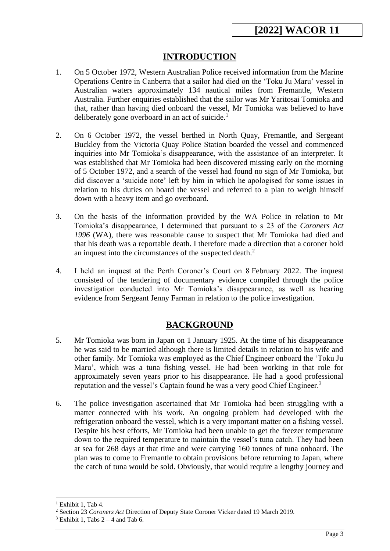## **INTRODUCTION**

- 1. On 5 October 1972, Western Australian Police received information from the Marine Operations Centre in Canberra that a sailor had died on the 'Toku Ju Maru' vessel in Australian waters approximately 134 nautical miles from Fremantle, Western Australia. Further enquiries established that the sailor was Mr Yaritosai Tomioka and that, rather than having died onboard the vessel, Mr Tomioka was believed to have deliberately gone overboard in an act of suicide. $<sup>1</sup>$ </sup>
- 2. On 6 October 1972, the vessel berthed in North Quay, Fremantle, and Sergeant Buckley from the Victoria Quay Police Station boarded the vessel and commenced inquiries into Mr Tomioka's disappearance, with the assistance of an interpreter. It was established that Mr Tomioka had been discovered missing early on the morning of 5 October 1972, and a search of the vessel had found no sign of Mr Tomioka, but did discover a 'suicide note' left by him in which he apologised for some issues in relation to his duties on board the vessel and referred to a plan to weigh himself down with a heavy item and go overboard.
- 3. On the basis of the information provided by the WA Police in relation to Mr Tomioka's disappearance, I determined that pursuant to s 23 of the *Coroners Act 1996* (WA), there was reasonable cause to suspect that Mr Tomioka had died and that his death was a reportable death. I therefore made a direction that a coroner hold an inquest into the circumstances of the suspected death.<sup>2</sup>
- 4. I held an inquest at the Perth Coroner's Court on 8 February 2022. The inquest consisted of the tendering of documentary evidence compiled through the police investigation conducted into Mr Tomioka's disappearance, as well as hearing evidence from Sergeant Jenny Farman in relation to the police investigation.

## **BACKGROUND**

- 5. Mr Tomioka was born in Japan on 1 January 1925. At the time of his disappearance he was said to be married although there is limited details in relation to his wife and other family. Mr Tomioka was employed as the Chief Engineer onboard the 'Toku Ju Maru', which was a tuna fishing vessel. He had been working in that role for approximately seven years prior to his disappearance. He had a good professional reputation and the vessel's Captain found he was a very good Chief Engineer.<sup>3</sup>
- 6. The police investigation ascertained that Mr Tomioka had been struggling with a matter connected with his work. An ongoing problem had developed with the refrigeration onboard the vessel, which is a very important matter on a fishing vessel. Despite his best efforts, Mr Tomioka had been unable to get the freezer temperature down to the required temperature to maintain the vessel's tuna catch. They had been at sea for 268 days at that time and were carrying 160 tonnes of tuna onboard. The plan was to come to Fremantle to obtain provisions before returning to Japan, where the catch of tuna would be sold. Obviously, that would require a lengthy journey and

<sup>&</sup>lt;sup>1</sup> Exhibit 1, Tab 4.

<sup>2</sup> Section 23 *Coroners Act* Direction of Deputy State Coroner Vicker dated 19 March 2019.

 $3$  Exhibit 1, Tabs  $2 - 4$  and Tab 6.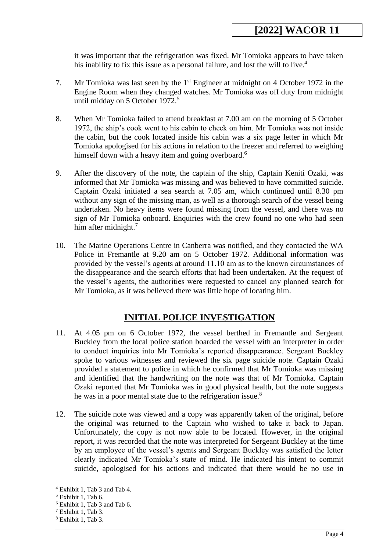it was important that the refrigeration was fixed. Mr Tomioka appears to have taken his inability to fix this issue as a personal failure, and lost the will to live.<sup>4</sup>

- 7. Mr Tomioka was last seen by the 1<sup>st</sup> Engineer at midnight on 4 October 1972 in the Engine Room when they changed watches. Mr Tomioka was off duty from midnight until midday on 5 October 1972.<sup>5</sup>
- 8. When Mr Tomioka failed to attend breakfast at 7.00 am on the morning of 5 October 1972, the ship's cook went to his cabin to check on him. Mr Tomioka was not inside the cabin, but the cook located inside his cabin was a six page letter in which Mr Tomioka apologised for his actions in relation to the freezer and referred to weighing himself down with a heavy item and going overboard.<sup>6</sup>
- 9. After the discovery of the note, the captain of the ship, Captain Keniti Ozaki, was informed that Mr Tomioka was missing and was believed to have committed suicide. Captain Ozaki initiated a sea search at 7.05 am, which continued until 8.30 pm without any sign of the missing man, as well as a thorough search of the vessel being undertaken. No heavy items were found missing from the vessel, and there was no sign of Mr Tomioka onboard. Enquiries with the crew found no one who had seen him after midnight.<sup>7</sup>
- 10. The Marine Operations Centre in Canberra was notified, and they contacted the WA Police in Fremantle at 9.20 am on 5 October 1972. Additional information was provided by the vessel's agents at around 11.10 am as to the known circumstances of the disappearance and the search efforts that had been undertaken. At the request of the vessel's agents, the authorities were requested to cancel any planned search for Mr Tomioka, as it was believed there was little hope of locating him.

## **INITIAL POLICE INVESTIGATION**

- 11. At 4.05 pm on 6 October 1972, the vessel berthed in Fremantle and Sergeant Buckley from the local police station boarded the vessel with an interpreter in order to conduct inquiries into Mr Tomioka's reported disappearance. Sergeant Buckley spoke to various witnesses and reviewed the six page suicide note. Captain Ozaki provided a statement to police in which he confirmed that Mr Tomioka was missing and identified that the handwriting on the note was that of Mr Tomioka. Captain Ozaki reported that Mr Tomioka was in good physical health, but the note suggests he was in a poor mental state due to the refrigeration issue.<sup>8</sup>
- 12. The suicide note was viewed and a copy was apparently taken of the original, before the original was returned to the Captain who wished to take it back to Japan. Unfortunately, the copy is not now able to be located. However, in the original report, it was recorded that the note was interpreted for Sergeant Buckley at the time by an employee of the vessel's agents and Sergeant Buckley was satisfied the letter clearly indicated Mr Tomioka's state of mind. He indicated his intent to commit suicide, apologised for his actions and indicated that there would be no use in

<sup>4</sup> Exhibit 1, Tab 3 and Tab 4.

<sup>5</sup> Exhibit 1, Tab 6.

<sup>6</sup> Exhibit 1, Tab 3 and Tab 6.

<sup>7</sup> Exhibit 1, Tab 3.

<sup>8</sup> Exhibit 1, Tab 3.